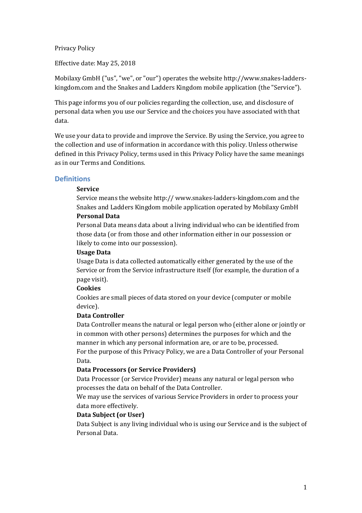Privacy Policy

Effective date: May 25, 2018

Mobilaxy GmbH ("us", "we", or "our") operates the website http://www.snakes-ladderskingdom.com and the Snakes and Ladders Kingdom mobile application (the "Service").

This page informs you of our policies regarding the collection, use, and disclosure of personal data when you use our Service and the choices you have associated with that data.

We use your data to provide and improve the Service. By using the Service, you agree to the collection and use of information in accordance with this policy. Unless otherwise defined in this Privacy Policy, terms used in this Privacy Policy have the same meanings as in our Terms and Conditions.

### **Definitions**

#### **Service**

Service means the website http:// www.snakes-ladders-kingdom.com and the Snakes and Ladders Kingdom mobile application operated by Mobilaxy GmbH

# **Personal Data**

Personal Data means data about a living individual who can be identified from those data (or from those and other information either in our possession or likely to come into our possession).

#### **Usage Data**

Usage Data is data collected automatically either generated by the use of the Service or from the Service infrastructure itself (for example, the duration of a page visit).

#### **Cookies**

Cookies are small pieces of data stored on your device (computer or mobile device).

# **Data Controller**

Data Controller means the natural or legal person who (either alone or jointly or in common with other persons) determines the purposes for which and the manner in which any personal information are, or are to be, processed. For the purpose of this Privacy Policy, we are a Data Controller of your Personal Data.

### **Data Processors (or Service Providers)**

Data Processor (or Service Provider) means any natural or legal person who processes the data on behalf of the Data Controller.

We may use the services of various Service Providers in order to process your data more effectively.

#### **Data Subject (or User)**

Data Subject is any living individual who is using our Service and is the subject of Personal Data.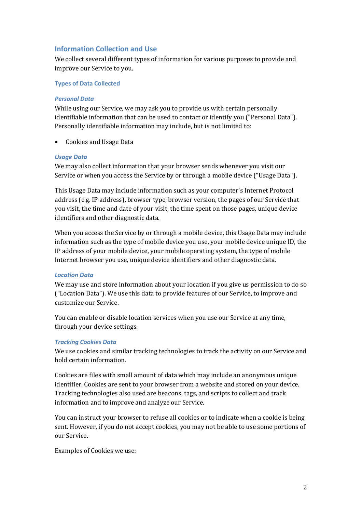# **Information Collection and Use**

We collect several different types of information for various purposes to provide and improve our Service to you.

#### **Types of Data Collected**

#### *Personal Data*

While using our Service, we may ask you to provide us with certain personally identifiable information that can be used to contact or identify you ("Personal Data"). Personally identifiable information may include, but is not limited to:

Cookies and Usage Data

#### *Usage Data*

We may also collect information that your browser sends whenever you visit our Service or when you access the Service by or through a mobile device ("Usage Data").

This Usage Data may include information such as your computer's Internet Protocol address (e.g. IP address), browser type, browser version, the pages of our Service that you visit, the time and date of your visit, the time spent on those pages, unique device identifiers and other diagnostic data.

When you access the Service by or through a mobile device, this Usage Data may include information such as the type of mobile device you use, your mobile device unique ID, the IP address of your mobile device, your mobile operating system, the type of mobile Internet browser you use, unique device identifiers and other diagnostic data.

#### *Location Data*

We may use and store information about your location if you give us permission to do so ("Location Data"). We use this data to provide features of our Service, to improve and customize our Service.

You can enable or disable location services when you use our Service at any time, through your device settings.

#### *Tracking Cookies Data*

We use cookies and similar tracking technologies to track the activity on our Service and hold certain information.

Cookies are files with small amount of data which may include an anonymous unique identifier. Cookies are sent to your browser from a website and stored on your device. Tracking technologies also used are beacons, tags, and scripts to collect and track information and to improve and analyze our Service.

You can instruct your browser to refuse all cookies or to indicate when a cookie is being sent. However, if you do not accept cookies, you may not be able to use some portions of our Service.

Examples of Cookies we use: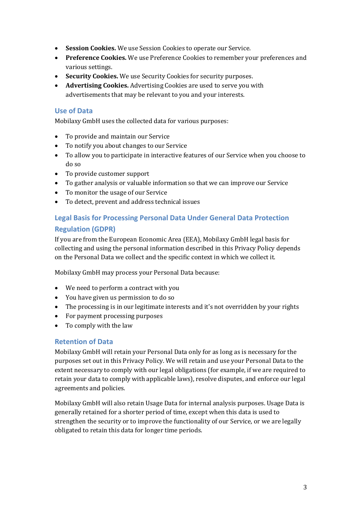- Session Cookies. We use Session Cookies to operate our Service.
- Preference Cookies. We use Preference Cookies to remember your preferences and various settings.
- Security Cookies. We use Security Cookies for security purposes.
- **Advertising Cookies.** Advertising Cookies are used to serve you with advertisements that may be relevant to you and your interests.

# **Use of Data**

Mobilaxy GmbH uses the collected data for various purposes:

- To provide and maintain our Service
- To notify you about changes to our Service
- To allow you to participate in interactive features of our Service when you choose to do so
- To provide customer support
- To gather analysis or valuable information so that we can improve our Service
- To monitor the usage of our Service
- To detect, prevent and address technical issues

# **Legal Basis for Processing Personal Data Under General Data Protection Regulation (GDPR)**

If you are from the European Economic Area (EEA), Mobilaxy GmbH legal basis for collecting and using the personal information described in this Privacy Policy depends on the Personal Data we collect and the specific context in which we collect it.

Mobilaxy GmbH may process your Personal Data because:

- We need to perform a contract with you
- You have given us permission to do so
- The processing is in our legitimate interests and it's not overridden by your rights
- For payment processing purposes
- To comply with the law

# **Retention of Data**

Mobilaxy GmbH will retain your Personal Data only for as long as is necessary for the purposes set out in this Privacy Policy. We will retain and use your Personal Data to the extent necessary to comply with our legal obligations (for example, if we are required to retain your data to comply with applicable laws), resolve disputes, and enforce our legal agreements and policies.

Mobilaxy GmbH will also retain Usage Data for internal analysis purposes. Usage Data is generally retained for a shorter period of time, except when this data is used to strengthen the security or to improve the functionality of our Service, or we are legally obligated to retain this data for longer time periods.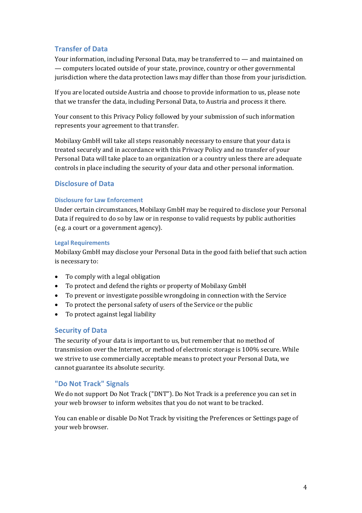# **Transfer of Data**

Your information, including Personal Data, may be transferred to — and maintained on — computers located outside of your state, province, country or other governmental jurisdiction where the data protection laws may differ than those from your jurisdiction.

If you are located outside Austria and choose to provide information to us, please note that we transfer the data, including Personal Data, to Austria and process it there.

Your consent to this Privacy Policy followed by your submission of such information represents your agreement to that transfer.

Mobilaxy GmbH will take all steps reasonably necessary to ensure that your data is treated securely and in accordance with this Privacy Policy and no transfer of your Personal Data will take place to an organization or a country unless there are adequate controls in place including the security of your data and other personal information.

# **Disclosure of Data**

### **Disclosure for Law Enforcement**

Under certain circumstances, Mobilaxy GmbH may be required to disclose your Personal Data if required to do so by law or in response to valid requests by public authorities (e.g. a court or a government agency).

#### **Legal Requirements**

Mobilaxy GmbH may disclose your Personal Data in the good faith belief that such action is necessary to:

- $\bullet$  To comply with a legal obligation
- To protect and defend the rights or property of Mobilaxy GmbH
- To prevent or investigate possible wrongdoing in connection with the Service
- To protect the personal safety of users of the Service or the public
- To protect against legal liability

# **Security of Data**

The security of your data is important to us, but remember that no method of transmission over the Internet, or method of electronic storage is 100% secure. While we strive to use commercially acceptable means to protect your Personal Data, we cannot guarantee its absolute security.

# **"Do Not Track" Signals**

We do not support Do Not Track ("DNT"). Do Not Track is a preference you can set in your web browser to inform websites that you do not want to be tracked.

You can enable or disable Do Not Track by visiting the Preferences or Settings page of your web browser.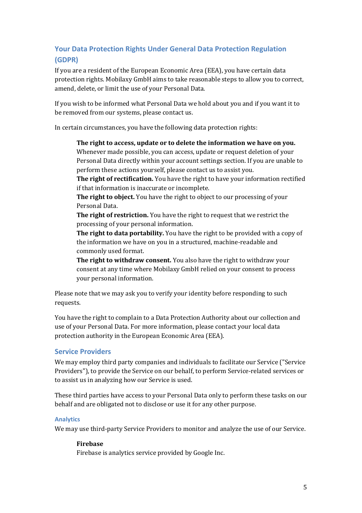# **Your Data Protection Rights Under General Data Protection Regulation (GDPR)**

If you are a resident of the European Economic Area (EEA), you have certain data protection rights. Mobilaxy GmbH aims to take reasonable steps to allow you to correct, amend, delete, or limit the use of your Personal Data.

If you wish to be informed what Personal Data we hold about you and if you want it to be removed from our systems, please contact us.

In certain circumstances, you have the following data protection rights:

The right to access, update or to delete the information we have on you. Whenever made possible, you can access, update or request deletion of your Personal Data directly within your account settings section. If you are unable to perform these actions yourself, please contact us to assist you.

**The right of rectification.** You have the right to have your information rectified if that information is inaccurate or incomplete.

**The right to object.** You have the right to object to our processing of your Personal Data.

**The right of restriction.** You have the right to request that we restrict the processing of your personal information.

**The right to data portability.** You have the right to be provided with a copy of the information we have on you in a structured, machine-readable and commonly used format.

**The right to withdraw consent.** You also have the right to withdraw your consent at any time where Mobilaxy GmbH relied on your consent to process your personal information.

Please note that we may ask you to verify your identity before responding to such requests.

You have the right to complain to a Data Protection Authority about our collection and use of your Personal Data. For more information, please contact your local data protection authority in the European Economic Area (EEA).

# **Service Providers**

We may employ third party companies and individuals to facilitate our Service ("Service Providers"), to provide the Service on our behalf, to perform Service-related services or to assist us in analyzing how our Service is used.

These third parties have access to your Personal Data only to perform these tasks on our behalf and are obligated not to disclose or use it for any other purpose.

# **Analytics**

We may use third-party Service Providers to monitor and analyze the use of our Service.

# **Firebase**

Firebase is analytics service provided by Google Inc.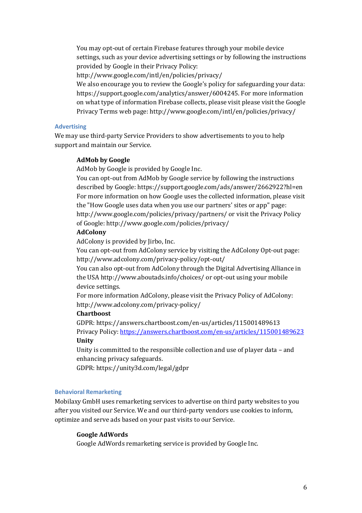You may opt-out of certain Firebase features through your mobile device settings, such as your device advertising settings or by following the instructions provided by Google in their Privacy Policy:

http://www.google.com/intl/en/policies/privacy/

We also encourage you to review the Google's policy for safeguarding your data: https://support.google.com/analytics/answer/6004245. For more information on what type of information Firebase collects, please visit please visit the Google Privacy Terms web page: http://www.google.com/intl/en/policies/privacy/

#### **Advertising**

We may use third-party Service Providers to show advertisements to you to help support and maintain our Service.

#### **AdMob by Google**

AdMob by Google is provided by Google Inc.

You can opt-out from AdMob by Google service by following the instructions described by Google: https://support.google.com/ads/answer/2662922?hl=en For more information on how Google uses the collected information, please visit the "How Google uses data when you use our partners' sites or app" page: http://www.google.com/policies/privacy/partners/ or visit the Privacy Policy of Google: http://www.google.com/policies/privacy/

#### **AdColony**

AdColony is provided by Jirbo, Inc.

You can opt-out from AdColony service by visiting the AdColony Opt-out page: http://www.adcolony.com/privacy-policy/opt-out/

You can also opt-out from AdColony through the Digital Advertising Alliance in the USA http://www.aboutads.info/choices/ or opt-out using your mobile device settings.

For more information AdColony, please visit the Privacy Policy of AdColony: http://www.adcolony.com/privacy-policy/

#### **Chartboost**

GDPR: https://answers.chartboost.com/en-us/articles/115001489613 Privacy Policy: https://answers.chartboost.com/en-us/articles/115001489623 **Unity**

Unity is committed to the responsible collection and use of player data  $-$  and enhancing privacy safeguards.

GDPR: https://unity3d.com/legal/gdpr

#### **Behavioral Remarketing**

Mobilaxy GmbH uses remarketing services to advertise on third party websites to you after vou visited our Service. We and our third-party vendors use cookies to inform, optimize and serve ads based on your past visits to our Service.

#### **Google AdWords**

Google AdWords remarketing service is provided by Google Inc.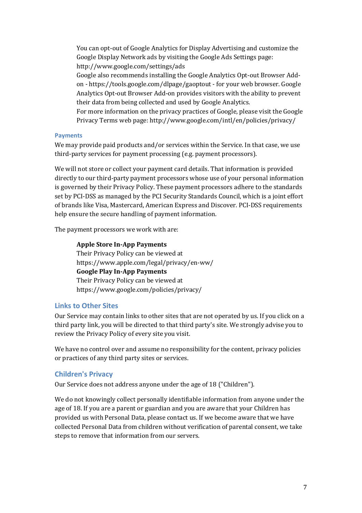You can opt-out of Google Analytics for Display Advertising and customize the Google Display Network ads by visiting the Google Ads Settings page: http://www.google.com/settings/ads

Google also recommends installing the Google Analytics Opt-out Browser Addon - https://tools.google.com/dlpage/gaoptout - for your web browser. Google Analytics Opt-out Browser Add-on provides visitors with the ability to prevent their data from being collected and used by Google Analytics.

For more information on the privacy practices of Google, please visit the Google Privacy Terms web page: http://www.google.com/intl/en/policies/privacy/

### **Payments**

We may provide paid products and/or services within the Service. In that case, we use third-party services for payment processing (e.g. payment processors).

We will not store or collect your payment card details. That information is provided directly to our third-party payment processors whose use of your personal information is governed by their Privacy Policy. These payment processors adhere to the standards set by PCI-DSS as managed by the PCI Security Standards Council, which is a joint effort of brands like Visa, Mastercard, American Express and Discover. PCI-DSS requirements help ensure the secure handling of payment information.

The payment processors we work with are:

**Apple Store In-App Payments** Their Privacy Policy can be viewed at https://www.apple.com/legal/privacy/en-ww/ **Google Play In-App Payments** Their Privacy Policy can be viewed at https://www.google.com/policies/privacy/

# **Links to Other Sites**

Our Service may contain links to other sites that are not operated by us. If you click on a third party link, you will be directed to that third party's site. We strongly advise you to review the Privacy Policy of every site you visit.

We have no control over and assume no responsibility for the content, privacy policies or practices of any third party sites or services.

# **Children's Privacy**

Our Service does not address anyone under the age of 18 ("Children").

We do not knowingly collect personally identifiable information from anyone under the age of 18. If you are a parent or guardian and you are aware that your Children has provided us with Personal Data, please contact us. If we become aware that we have collected Personal Data from children without verification of parental consent, we take steps to remove that information from our servers.